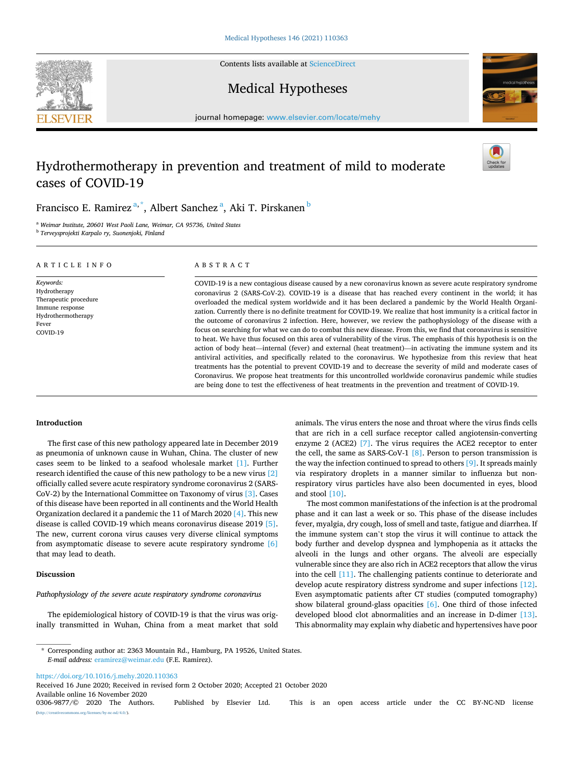**SEVIER** 



# Medical Hypotheses



journal homepage: www.elsevier.com/locate/mehy

# Hydrothermotherapy in prevention and treatment of mild to moderate cases of COVID-19

Francisco E. Ramirez <sup>a,\*</sup>, Albert Sanchez <sup>a</sup>, Aki T. Pirskanen <sup>b</sup>

<sup>a</sup> Weimar Institute, 20601 West Paoli Lane, Weimar, CA 95736, United States  $^{\rm b}$  Terveysprojekti Karpalo ry, Suonenjoki, Finland

ARTICLE INFO

Keywords: Hydrotherapy Therapeutic procedure Immune response Hydrothermotherapy Fever COVID-19

## ABSTRACT

COVID-19 is a new contagious disease caused by a new coronavirus known as severe acute respiratory syndrome coronavirus 2 (SARS-CoV-2). COVID-19 is a disease that has reached every continent in the world; it has overloaded the medical system worldwide and it has been declared a pandemic by the World Health Organization. Currently there is no defnite treatment for COVID-19. We realize that host immunity is a critical factor in the outcome of coronavirus 2 infection. Here, however, we review the pathophysiology of the disease with a focus on searching for what we can do to combat this new disease. From this, we fnd that coronavirus is sensitive to heat. We have thus focused on this area of vulnerability of the virus. The emphasis of this hypothesis is on the action of body heat—internal (fever) and external (heat treatment)—in activating the immune system and its antiviral activities, and specifcally related to the coronavirus. We hypothesize from this review that heat treatments has the potential to prevent COVID-19 and to decrease the severity of mild and moderate cases of Coronavirus. We propose heat treatments for this uncontrolled worldwide coronavirus pandemic while studies are being done to test the effectiveness of heat treatments in the prevention and treatment of COVID-19.

## Introduction

The first case of this new pathology appeared late in December 2019 as pneumonia of unknown cause in Wuhan, China. The cluster of new cases seem to be linked to a seafood wholesale market [1]. Further research identifed the cause of this new pathology to be a new virus [2] officially called severe acute respiratory syndrome coronavirus 2 (SARS-CoV-2) by the International Committee on Taxonomy of virus [3]. Cases of this disease have been reported in all continents and the World Health Organization declared it a pandemic the 11 of March 2020 [4]. This new disease is called COVID-19 which means coronavirus disease 2019 [5]. The new, current corona virus causes very diverse clinical symptoms from asymptomatic disease to severe acute respiratory syndrome [6] that may lead to death.

## Discussion

## Pathophysiology of the severe acute respiratory syndrome coronavirus

The epidemiological history of COVID-19 is that the virus was originally transmitted in Wuhan, China from a meat market that sold

animals. The virus enters the nose and throat where the virus fnds cells that are rich in a cell surface receptor called angiotensin-converting enzyme 2 (ACE2) [7]. The virus requires the ACE2 receptor to enter the cell, the same as SARS-CoV-1  $[8]$ . Person to person transmission is the way the infection continued to spread to others [9]. It spreads mainly via respiratory droplets in a manner similar to infuenza but nonrespiratory virus particles have also been documented in eyes, blood and stool [10].

The most common manifestations of the infection is at the prodromal phase and it can last a week or so. This phase of the disease includes fever, myalgia, dry cough, loss of smell and taste, fatigue and diarrhea. If the immune system can't stop the virus it will continue to attack the body further and develop dyspnea and lymphopenia as it attacks the alveoli in the lungs and other organs. The alveoli are especially vulnerable since they are also rich in ACE2 receptors that allow the virus into the cell [11]. The challenging patients continue to deteriorate and develop acute respiratory distress syndrome and super infections [12]. Even asymptomatic patients after CT studies (computed tomography) show bilateral ground-glass opacities [6]. One third of those infected developed blood clot abnormalities and an increase in D-dimer [13]. This abnormality may explain why diabetic and hypertensives have poor

https://doi.org/10.1016/j.mehy.2020.110363

 $\frac{\text{uses}}{\text{by-nc-nd}/4.0}$ .

Available online 16 November 2020<br>0306-9877/© 2020 The Authors. Published by Elsevier Ltd. This is an open access article under the CC BY-NC-ND license Received 16 June 2020; Received in revised form 2 October 2020; Accepted 21 October 2020

<sup>\*</sup> Corresponding author at: 2363 Mountain Rd., Hamburg, PA 19526, United States. E-mail address: eramirez@weimar.edu (F.E. Ramirez).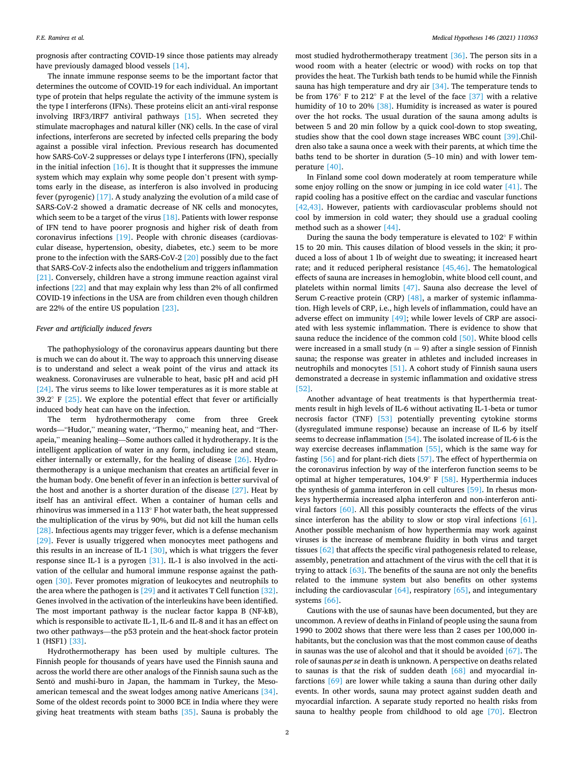prognosis after contracting COVID-19 since those patients may already have previously damaged blood vessels [14].

The innate immune response seems to be the important factor that determines the outcome of COVID-19 for each individual. An important type of protein that helps regulate the activity of the immune system is the type I interferons (IFNs). These proteins elicit an anti-viral response involving IRF3/IRF7 antiviral pathways [15]. When secreted they stimulate macrophages and natural killer (NK) cells. In the case of viral infections, interferons are secreted by infected cells preparing the body against a possible viral infection. Previous research has documented how SARS-CoV-2 suppresses or delays type I interferons (IFN), specially in the initial infection  $[16]$ . It is thought that it suppresses the immune system which may explain why some people don't present with symptoms early in the disease, as interferon is also involved in producing fever (pyrogenic) [17]. A study analyzing the evolution of a mild case of SARS-CoV-2 showed a dramatic decrease of NK cells and monocytes, which seem to be a target of the virus [18]. Patients with lower response of IFN tend to have poorer prognosis and higher risk of death from coronavirus infections [19]. People with chronic diseases (cardiovascular disease, hypertension, obesity, diabetes, etc.) seem to be more prone to the infection with the SARS-CoV-2 [20] possibly due to the fact that SARS-CoV-2 infects also the endothelium and triggers infammation [21]. Conversely, children have a strong immune reaction against viral infections [22] and that may explain why less than 2% of all confrmed COVID-19 infections in the USA are from children even though children are 22% of the entire US population [23].

#### Fever and artificially induced fevers

The pathophysiology of the coronavirus appears daunting but there is much we can do about it. The way to approach this unnerving disease is to understand and select a weak point of the virus and attack its weakness. Coronaviruses are vulnerable to heat, basic pH and acid pH [24]. The virus seems to like lower temperatures as it is more stable at 39.2 $\degree$  F [25]. We explore the potential effect that fever or artificially induced body heat can have on the infection.

The term hydrothermotherapy come from three Greek words—"Hudor," meaning water, "Thermo," meaning heat, and "Therapeia," meaning healing—Some authors called it hydrotherapy. It is the intelligent application of water in any form, including ice and steam, either internally or externally, for the healing of disease [26]. Hydrothermotherapy is a unique mechanism that creates an artifcial fever in the human body. One beneft of fever in an infection is better survival of the host and another is a shorter duration of the disease  $[27]$ . Heat by itself has an antiviral effect. When a container of human cells and rhinovirus was immersed in a 113◦ F hot water bath, the heat suppressed the multiplication of the virus by 90%, but did not kill the human cells [28]. Infectious agents may trigger fever, which is a defense mechanism [29]. Fever is usually triggered when monocytes meet pathogens and this results in an increase of IL-1 [30], which is what triggers the fever response since IL-1 is a pyrogen [31]. IL-1 is also involved in the activation of the cellular and humoral immune response against the pathogen [30]. Fever promotes migration of leukocytes and neutrophils to the area where the pathogen is [29] and it activates T Cell function [32]. Genes involved in the activation of the interleukins have been identifed. The most important pathway is the nuclear factor kappa B (NF-kB), which is responsible to activate IL-1, IL-6 and IL-8 and it has an effect on two other pathways—the p53 protein and the heat-shock factor protein 1 (HSF1) [33].

Hydrothermotherapy has been used by multiple cultures. The Finnish people for thousands of years have used the Finnish sauna and across the world there are other analogs of the Finnish sauna such as the Sentō and mushi-buro in Japan, the hammam in Turkey, the Mesoamerican temescal and the sweat lodges among native Americans [34]. Some of the oldest records point to 3000 BCE in India where they were giving heat treatments with steam baths [35]. Sauna is probably the most studied hydrothermotherapy treatment [36]. The person sits in a wood room with a heater (electric or wood) with rocks on top that provides the heat. The Turkish bath tends to be humid while the Finnish sauna has high temperature and dry air [34]. The temperature tends to be from 176◦ F to 212◦ F at the level of the face [37] with a relative humidity of 10 to 20% [38]. Humidity is increased as water is poured over the hot rocks. The usual duration of the sauna among adults is between 5 and 20 min follow by a quick cool-down to stop sweating, studies show that the cool down stage increases WBC count [39].Children also take a sauna once a week with their parents, at which time the baths tend to be shorter in duration (5–10 min) and with lower temperature [40].

In Finland some cool down moderately at room temperature while some enjoy rolling on the snow or jumping in ice cold water [41]. The rapid cooling has a positive effect on the cardiac and vascular functions [42,43]. However, patients with cardiovascular problems should not cool by immersion in cold water; they should use a gradual cooling method such as a shower [44].

During the sauna the body temperature is elevated to 102◦ F within 15 to 20 min. This causes dilation of blood vessels in the skin; it produced a loss of about 1 lb of weight due to sweating; it increased heart rate; and it reduced peripheral resistance [45,46]. The hematological effects of sauna are increases in hemoglobin, white blood cell count, and platelets within normal limits [47]. Sauna also decrease the level of Serum C-reactive protein (CRP) [48], a marker of systemic inflammation. High levels of CRP, i.e., high levels of infammation, could have an adverse effect on immunity [49]; while lower levels of CRP are associated with less systemic infammation. There is evidence to show that sauna reduce the incidence of the common cold [50]. White blood cells were increased in a small study ( $n = 9$ ) after a single session of Finnish sauna; the response was greater in athletes and included increases in neutrophils and monocytes [51]. A cohort study of Finnish sauna users demonstrated a decrease in systemic infammation and oxidative stress [52].

Another advantage of heat treatments is that hyperthermia treatments result in high levels of IL-6 without activating IL-1-beta or tumor necrosis factor (TNF) [53] potentially preventing cytokine storms (dysregulated immune response) because an increase of IL-6 by itself seems to decrease infammation [54]. The isolated increase of IL-6 is the way exercise decreases infammation [55], which is the same way for fasting [56] and for plant-rich diets [57]. The effect of hyperthermia on the coronavirus infection by way of the interferon function seems to be optimal at higher temperatures, 104.9◦ F [58]. Hyperthermia induces the synthesis of gamma interferon in cell cultures [59]. In rhesus monkeys hyperthermia increased alpha interferon and non-interferon antiviral factors [60]. All this possibly counteracts the effects of the virus since interferon has the ability to slow or stop viral infections [61]. Another possible mechanism of how hyperthermia may work against viruses is the increase of membrane fuidity in both virus and target tissues [62] that affects the specific viral pathogenesis related to release, assembly, penetration and attachment of the virus with the cell that it is trying to attack  $[63]$ . The benefits of the sauna are not only the benefits related to the immune system but also benefts on other systems including the cardiovascular [64], respiratory [65], and integumentary systems [66].

Cautions with the use of saunas have been documented, but they are uncommon. A review of deaths in Finland of people using the sauna from 1990 to 2002 shows that there were less than 2 cases per 100,000 inhabitants, but the conclusion was that the most common cause of deaths in saunas was the use of alcohol and that it should be avoided [67]. The role of saunas per se in death is unknown. A perspective on deaths related to saunas is that the risk of sudden death [68] and myocardial infarctions [69] are lower while taking a sauna than during other daily events. In other words, sauna may protect against sudden death and myocardial infarction. A separate study reported no health risks from sauna to healthy people from childhood to old age [70]. Electron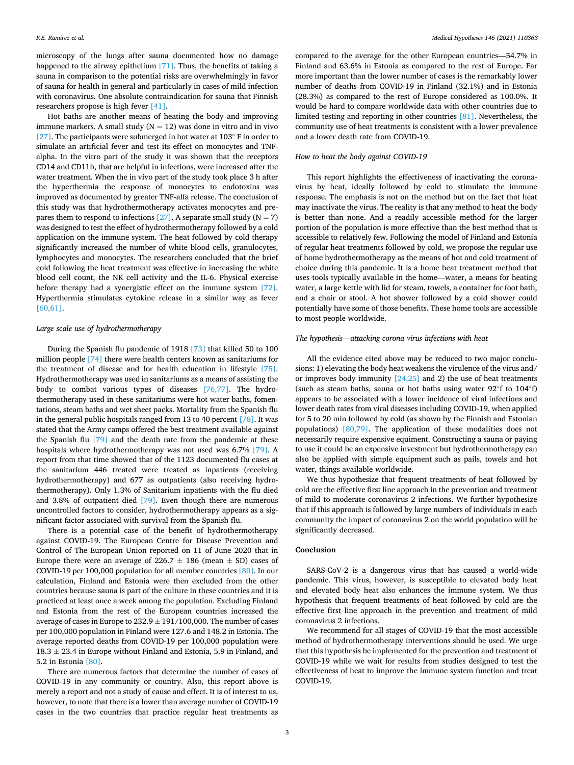microscopy of the lungs after sauna documented how no damage happened to the airway epithelium  $[71]$ . Thus, the benefits of taking a sauna in comparison to the potential risks are overwhelmingly in favor of sauna for health in general and particularly in cases of mild infection with coronavirus. One absolute contraindication for sauna that Finnish researchers propose is high fever [41].

Hot baths are another means of heating the body and improving immune markers. A small study  $(N = 12)$  was done in vitro and in vivo [27]. The participants were submerged in hot water at 103° F in order to simulate an artificial fever and test its effect on monocytes and TNFalpha. In the vitro part of the study it was shown that the receptors CD14 and CD11b, that are helpful in infections, were increased after the water treatment. When the in vivo part of the study took place 3 h after the hyperthermia the response of monocytes to endotoxins was improved as documented by greater TNF-alfa release. The conclusion of this study was that hydrothermotherapy activates monocytes and prepares them to respond to infections [27]. A separate small study ( $N = 7$ ) was designed to test the effect of hydrothermotherapy followed by a cold application on the immune system. The heat followed by cold therapy significantly increased the number of white blood cells, granulocytes, lymphocytes and monocytes. The researchers concluded that the brief cold following the heat treatment was effective in increasing the white blood cell count, the NK cell activity and the IL-6. Physical exercise before therapy had a synergistic effect on the immune system [72]. Hyperthermia stimulates cytokine release in a similar way as fever [60,61].

## Large scale use of hydrothermotherapy

During the Spanish fu pandemic of 1918 [73] that killed 50 to 100 million people [74] there were health centers known as sanitariums for the treatment of disease and for health education in lifestyle [75]. Hydrothermotherapy was used in sanitariums as a means of assisting the body to combat various types of diseases [76,77]. The hydrothermotherapy used in these sanitariums were hot water baths, fomentations, steam baths and wet sheet packs. Mortality from the Spanish fu in the general public hospitals ranged from 13 to 40 percent [78]. It was stated that the Army camps offered the best treatment available against the Spanish fu [79] and the death rate from the pandemic at these hospitals where hydrothermotherapy was not used was 6.7% [79]. A report from that time showed that of the 1123 documented fu cases at the sanitarium 446 treated were treated as inpatients (receiving hydrothermotherapy) and 677 as outpatients (also receiving hydrothermotherapy). Only 1.3% of Sanitarium inpatients with the fu died and 3.8% of outpatient died [79]. Even though there are numerous uncontrolled factors to consider, hydrothermotherapy appears as a signifcant factor associated with survival from the Spanish fu.

There is a potential case of the beneft of hydrothermotherapy against COVID-19. The European Centre for Disease Prevention and Control of The European Union reported on 11 of June 2020 that in Europe there were an average of 226.7  $\pm$  186 (mean  $\pm$  SD) cases of COVID-19 per 100,000 population for all member countries [80]. In our calculation, Finland and Estonia were then excluded from the other countries because sauna is part of the culture in these countries and it is practiced at least once a week among the population. Excluding Finland and Estonia from the rest of the European countries increased the average of cases in Europe to  $232.9 \pm 191/100,000$ . The number of cases per 100,000 population in Finland were 127.6 and 148.2 in Estonia. The average reported deaths from COVID-19 per 100,000 population were  $18.3 \pm 23.4$  in Europe without Finland and Estonia, 5.9 in Finland, and 5.2 in Estonia [80].

There are numerous factors that determine the number of cases of COVID-19 in any community or country. Also, this report above is merely a report and not a study of cause and effect. It is of interest to us, however, to note that there is a lower than average number of COVID-19 cases in the two countries that practice regular heat treatments as compared to the average for the other European countries—54.7% in Finland and 63.6% in Estonia as compared to the rest of Europe. Far more important than the lower number of cases is the remarkably lower number of deaths from COVID-19 in Finland (32.1%) and in Estonia (28.3%) as compared to the rest of Europe considered as 100.0%. It would be hard to compare worldwide data with other countries due to limited testing and reporting in other countries [81]. Nevertheless, the community use of heat treatments is consistent with a lower prevalence and a lower death rate from COVID-19.

#### How to heat the body against COVID-19

This report highlights the effectiveness of inactivating the coronavirus by heat, ideally followed by cold to stimulate the immune response. The emphasis is not on the method but on the fact that heat may inactivate the virus. The reality is that any method to heat the body is better than none. And a readily accessible method for the larger portion of the population is more effective than the best method that is accessible to relatively few. Following the model of Finland and Estonia of regular heat treatments followed by cold, we propose the regular use of home hydrothermotherapy as the means of hot and cold treatment of choice during this pandemic. It is a home heat treatment method that uses tools typically available in the home—water, a means for heating water, a large kettle with lid for steam, towels, a container for foot bath, and a chair or stool. A hot shower followed by a cold shower could potentially have some of those benefts. These home tools are accessible to most people worldwide.

#### The hypothesis—attacking corona virus infections with heat

All the evidence cited above may be reduced to two major conclusions: 1) elevating the body heat weakens the virulence of the virus and/ or improves body immunity [24,25] and 2) the use of heat treatments (such as steam baths, sauna or hot baths using water 92◦f to 104◦f) appears to be associated with a lower incidence of viral infections and lower death rates from viral diseases including COVID-19, when applied for 5 to 20 min followed by cold (as shown by the Finnish and Estonian populations) [80,79]. The application of these modalities does not necessarily require expensive equiment. Constructing a sauna or paying to use it could be an expensive investment but hydrothermotherapy can also be applied with simple equipment such as pails, towels and hot water, things available worldwide.

We thus hypothesize that frequent treatments of heat followed by cold are the effective frst line approach in the prevention and treatment of mild to moderate coronavirus 2 infections. We further hypothesize that if this approach is followed by large numbers of individuals in each community the impact of coronavirus 2 on the world population will be significantly decreased.

#### Conclusion

SARS-CoV-2 is a dangerous virus that has caused a world-wide pandemic. This virus, however, is susceptible to elevated body heat and elevated body heat also enhances the immune system. We thus hypothesis that frequent treatments of heat followed by cold are the effective frst line approach in the prevention and treatment of mild coronavirus 2 infections.

We recommend for all stages of COVID-19 that the most accessible method of hydrothermotherapy interventions should be used. We urge that this hypothesis be implemented for the prevention and treatment of COVID-19 while we wait for results from studies designed to test the effectiveness of heat to improve the immune system function and treat COVID-19.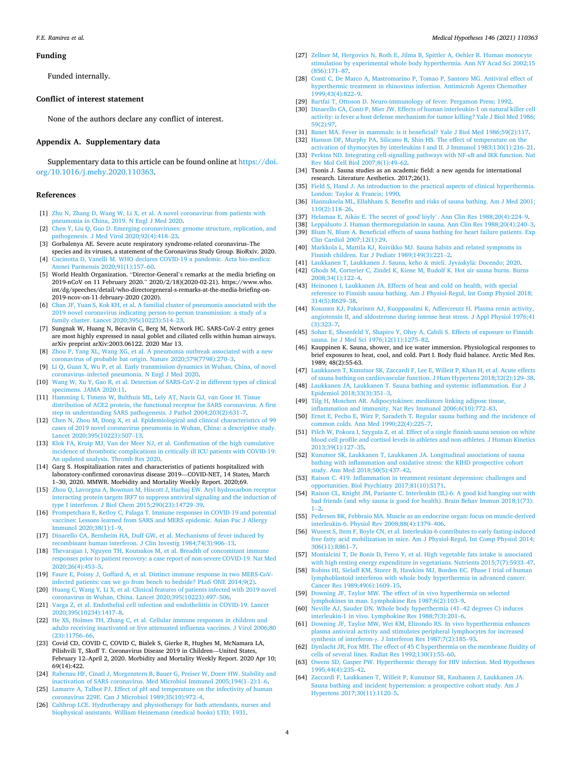#### Funding

Funded internally.

## Confict of interest statement

None of the authors declare any confict of interest.

#### Appendix A. Supplementary data

Supplementary data to this article can be found online at https://doi. org/10.1016/j.mehy.2020.110363.

#### References

- [1] Zhu N, Zhang D, Wang W, Li X, et al. A novel coronavirus from patients with pneumonia in China, 2019. N Engl J Med 2020.
- [2] Chen Y, Liu Q, Guo D. Emerging coronaviruses: genome structure, replication, and pathogenesis. J Med Virol 2020;92(4):418–23.
- [3] Gorbalenya AE. Severe acute respiratory syndrome-related coronavirus–The species and its viruses, a statement of the Coronavirus Study Group. BioRxiv. 2020.
- [4] Cucinotta D, Vanelli M. WHO declares COVID-19 a pandemic. Acta bio-medica: Atenei Parmensis 2020;91(1):157–60. [5] World Health Organization. "Director-General's remarks at the media briefing on
- 2019-nCoV on 11 February 2020." 2020/2/18)(2020-02-21). https://www.who. int/dg/speeches/detail/who-directorgeneral-s-remarks-at-the-media-briefng-on-2019-ncov-on-11-february-2020 (2020).
- [6] Chan JF, Yuan S, Kok KH, et al. A familial cluster of pneumonia associated with the 2019 novel coronavirus indicating person-to-person transmission: a study of a family cluster. Lancet 2020;395(10223):514–23.
- [7] Sungnak W, Huang N, Bécavin C, Berg M, Network HC. SARS-CoV-2 entry genes are most highly expressed in nasal goblet and ciliated cells within human airways. arXiv preprint arXiv:2003.06122. 2020 Mar 13.
- [8] Zhou P, Yang XL, Wang XG, et al. A pneumonia outbreak associated with a new coronavirus of probable bat origin. Nature 2020;579(7798):270–3.
- [9] Li Q, Guan X, Wu P, et al. Early transmission dynamics in Wuhan, China, of novel coronavirus–infected pneumonia. N Engl J Med 2020.
- [10] Wang W, Xu Y, Gao R, et al. Detection of SARS-CoV-2 in different types of clinical specimens. JAMA 2020:11.
- [11] Hamming I, Timens W, Bulthuis ML, Lely AT, Navis GJ, van Goor H. Tissue distribution of ACE2 protein, the functional receptor for SARS coronavirus. A first step in understanding SARS pathogenesis. J Pathol 2004;203(2):631–7.
- [12] Chen N, Zhou M, Dong X, et al. Epidemiological and clinical characteristics of 99 cases of 2019 novel coronavirus pneumonia in Wuhan, China: a descriptive study. Lancet 2020;395(10223):507–13.
- [13] Klok FA, Kruip MJ, Van der Meer NJ, et al. Confrmation of the high cumulative incidence of thrombotic complications in critically ill ICU patients with COVID-19: An updated analysis. Thromb Res 2020.
- [14] Garg S. Hospitalization rates and characteristics of patients hospitalized with laboratory-confrmed coronavirus disease 2019—COVID-NET, 14 States, March 1–30, 2020. MMWR. Morbidity and Mortality Weekly Report. 2020;69.
- [15] Zhou Q, Lavorgna A, Bowman M, Hiscott J, Harhaj EW. Aryl hydrocarbon receptor interacting protein targets IRF7 to suppress antiviral signaling and the induction of type I interferon. J Biol Chem 2015;290(23):14729–39.
- [16] Prompetchara E, Ketloy C, Palaga T. Immune responses in COVID-19 and potential vaccines: Lessons learned from SARS and MERS epidemic. Asian Pac J Allergy Immunol 2020;38(1):1–9.
- [17] Dinarello CA, Bernheim HA, Duff GW, et al. Mechanisms of fever induced by recombinant human interferon. J Clin Investig 1984;74(3):906–13.
- [18] Thevarajan I, Nguyen TH, Koutsakos M, et al. Breadth of concomitant immune responses prior to patient recovery: a case report of non-severe COVID-19. Nat Med 2020;26(4):453–5.
- [19] Faure E, Poissy J, Goffard A, et al. Distinct immune response in two MERS-CoVinfected patients: can we go from bench to bedside? PLoS ONE 2014;9(2).
- [20] Huang C, Wang Y, Li X, et al. Clinical features of patients infected with 2019 novel coronavirus in Wuhan, China. Lancet 2020;395(10223):497–506. [21] Varga Z, et al. Endothelial cell infection and endotheliitis in COVID-19. Lancet
- 2020;395(10234):1417–8.
- [22] He XS, Holmes TH, Zhang C, et al. Cellular immune responses in children and adults receiving inactivated or live attenuated infuenza vaccines. J Virol 2006;80 (23):11756–66.
- [23] Covid CD, COVID C, COVID C, Bialek S, Gierke R, Hughes M, McNamara LA, Pilishvili T, Skoff T. Coronavirus Disease 2019 in Children—United States, February 12–April 2, 2020. Morbidity and Mortality Weekly Report. 2020 Apr 10; 69(14):422.
- [24] Rabenau HF, Cinatl J, Morgenstern B, Bauer G, Preiser W, Doerr HW. Stability and inactivation of SARS coronavirus. Med Microbiol Immunol 2005;194(1–2):1–6.
- [25] Lamarre A, Talbot PJ. Effect of pH and temperature on the infectivity of human coronavirus 229E. Can J Microbiol 1989;35(10):972–4.
- [26] Calthrop LCE. Hydrotherapy and physiotherapy for bath attendants, nurses and biophysical assistants. William Heinemann (medical books) LTD; 1931.
- [27] Zellner M, Hergovics N, Roth E, Jilma B, Spittler A, Oehler R. Human monocyte stimulation by experimental whole body hyperthermia. Ann NY Acad Sci 2002;15 (856):171–87.
- [28] Conti C, De Marco A, Mastromarino P, Tomao P, Santoro MG. Antiviral effect of hyperthermic treatment in rhinovirus infection. Antimicrob Agents Chemother 1999;43(4):822–9.
- [29] Bartfai T, Ottoson D. Neuro-immunology of fever. Pergamon Press; 1992.
- [30] Dinarello CA, Conti P, Mier JW. Effects of human interleukin-1 on natural killer cell activity: is fever a host defense mechanism for tumor killing? Yale J Biol Med 1986; 59(2):97.
- [31] Banet MA. Fever in mammals: is it beneficial? Yale J Biol Med 1986;59(2):117.
- [32] Hanson DF, Murphy PA, Silicano R, Shin HS. The effect of temperature on the activation of thymocytes by interleukins I and II. J Immunol 1983;130(1):216–21. [33] Perkins ND. Integrating cell-signalling pathways with NF-κB and IKK function. Nat
- Rev Mol Cell Biol 2007;8(1):49–62. [34] Tsonis J. Sauna studies as an academic field: a new agenda for international research. Literature Aesthetics. 2017;26(1).
- [35] Field S, Hand J. An introduction to the practical aspects of clinical hyperthermia. London: Taylor & Francis; 1990.
- [36] Hannuksela ML, Ellahham S. Benefts and risks of sauna bathing. Am J Med 2001; 110(2):118–26.
- [37] Helamaa E, Aikäs E. The secret of good'löyly'. Ann Clin Res 1988;20(4):224-9.
- [38] Leppäluoto J. Human thermoregulation in sauna. Ann Clin Res 1988;20(4):240-3.
- [39] Blum N, Blum A. Beneficial effects of sauna bathing for heart failure patients. Exp Clin Cardiol 2007;12(1):29.
- [40] Markkola L, Mattila KJ, Koivikko MJ. Sauna habits and related symptoms in Finnish children. Eur J Pediatr 1989;149(3):221–2.
- [41] Laukkanen T, Laukkanen J. Sauna, keho & mieli. Jyväskylä: Docendo; 2020. [42] Ghods M, Corterier C, Zindel K, Kiene M, Rudolf K. Hot air sauna burns. Burns 2008;34(1):122–4.
- [43] Heinonen I, Laukkanen JA. Effects of heat and cold on health, with special reference to Finnish sauna bathing. Am J Physiol-Regul, Int Comp Physiol 2018; 314(5):R629–38.
- [44] Kosunen KJ, Pakarinen AJ, Kuoppasalmi K, Adlercreutz H. Plasma renin activity, angiotensin II, and aldosterone during intense heat stress. J Appl Physiol 1976;41 (3):323–7.
- [45] Sohar E, Shoenfeld Y, Shapiro Y, Ohry A, Cabili S. Effects of exposure to Finnish sauna. Isr J Med Sci 1976;12(11):1275–82.
- [46] Kauppinen K. Sauna, shower, and ice water immersion. Physiological responses to brief exposures to heat, cool, and cold. Part I. Body fuid balance. Arctic Med Res. 1989; 48(2):55-63.
- [47] Laukkanen T, Kunutsor SK, Zaccardi F, Lee E, Willeit P, Khan H, et al. Acute effects of sauna bathing on cardiovascular function. J Hum Hypertens 2018;32(2):129–38.
- [48] Laukkanen JA, Laukkanen T. Sauna bathing and systemic infammation. Eur J Epidemiol 2018;33(3):351–3. [49] Tilg H, Moschen AR. Adipocytokines: mediators linking adipose tissue,
- infammation and immunity. Nat Rev Immunol 2006;6(10):772–83.
- [50] Ernst E, Pecho E, Wirz P, Saradeth T. Regular sauna bathing and the incidence of common colds. Ann Med 1990;22(4):225–7.
- [51] Pilch W, Pokora I, Szyguła Z, et al. Effect of a single fnnish sauna session on white blood cell profle and cortisol levels in athletes and non-athletes. J Human Kinetics 2013;39(1):127–35.
- [52] Kunutsor SK, Laukkanen T, Laukkanen JA. Longitudinal associations of sauna bathing with infammation and oxidative stress: the KIHD prospective cohort study. Ann Med 2018;50(5):437–42.
- [53] Raison C. 419. Infammation in treatment resistant depression: challenges and opportunities. Biol Psychiatry 2017;81(10):S171.
- [54] Raison CL, Knight JM, Pariante C. Interleukin (IL)-6: A good kid hanging out with bad friends (and why sauna is good for health). Brain Behav Immun 2018;1(73):  $1-2.$
- [55] Pedersen BK, Febbraio MA. Muscle as an endocrine organ: focus on muscle-derived interleukin-6. Physiol Rev 2008;88(4):1379–406.
- [56] Wueest S, Item F, Boyle CN, et al. Interleukin-6 contributes to early fasting-induced free fatty acid mobilization in mice. Am J Physiol-Regul, Int Comp Physiol 2014; 306(11):R861–7.
- [57] Montalcini T, De Bonis D, Ferro Y, et al. High vegetable fats intake is associated with high resting energy expenditure in vegetarians. Nutrients 2015;7(7):5933–47.
- [58] Robins HI, Sielaff KM, Storer B, Hawkins MJ, Borden EC. Phase I trial of human lymphoblastoid interferon with whole body hyperthermia in advanced cancer. Cancer Res 1989;49(6):1609–15.
- [59] Downing JF, Taylor MW. The effect of in vivo hyperthermia on selected lymphokines in man. Lymphokine Res 1987;6(2):103–9.
- [60] Neville AJ, Sauder DN. Whole body hyperthermia (41–42 degrees C) induces interleukin-1 in vivo. Lymphokine Res 1988;7(3):201–6.
- [61] Downing JF, Taylor MW, Wei KM, Elizondo RS. In vivo hyperthermia enhances plasma antiviral activity and stimulates peripheral lymphocytes for increased synthesis of interferon-γ. J Interferon Res 1987;7(2):185–93.
- [62] Dynlacht JR, Fox MH. The effect of 45 C hyperthermia on the membrane fuidity of cells of several lines. Radiat Res 1992;130(1):55–60.
- [63] Owens SD, Gasper PW. Hyperthermic therapy for HIV infection. Med Hypotheses 1995;44(4):235–42.
- [64] Zaccardi F, Laukkanen T, Willeit P, Kunutsor SK, Kauhanen J, Laukkanen JA. Sauna bathing and incident hypertension: a prospective cohort study. Am J Hypertens 2017;30(11):1120–5.